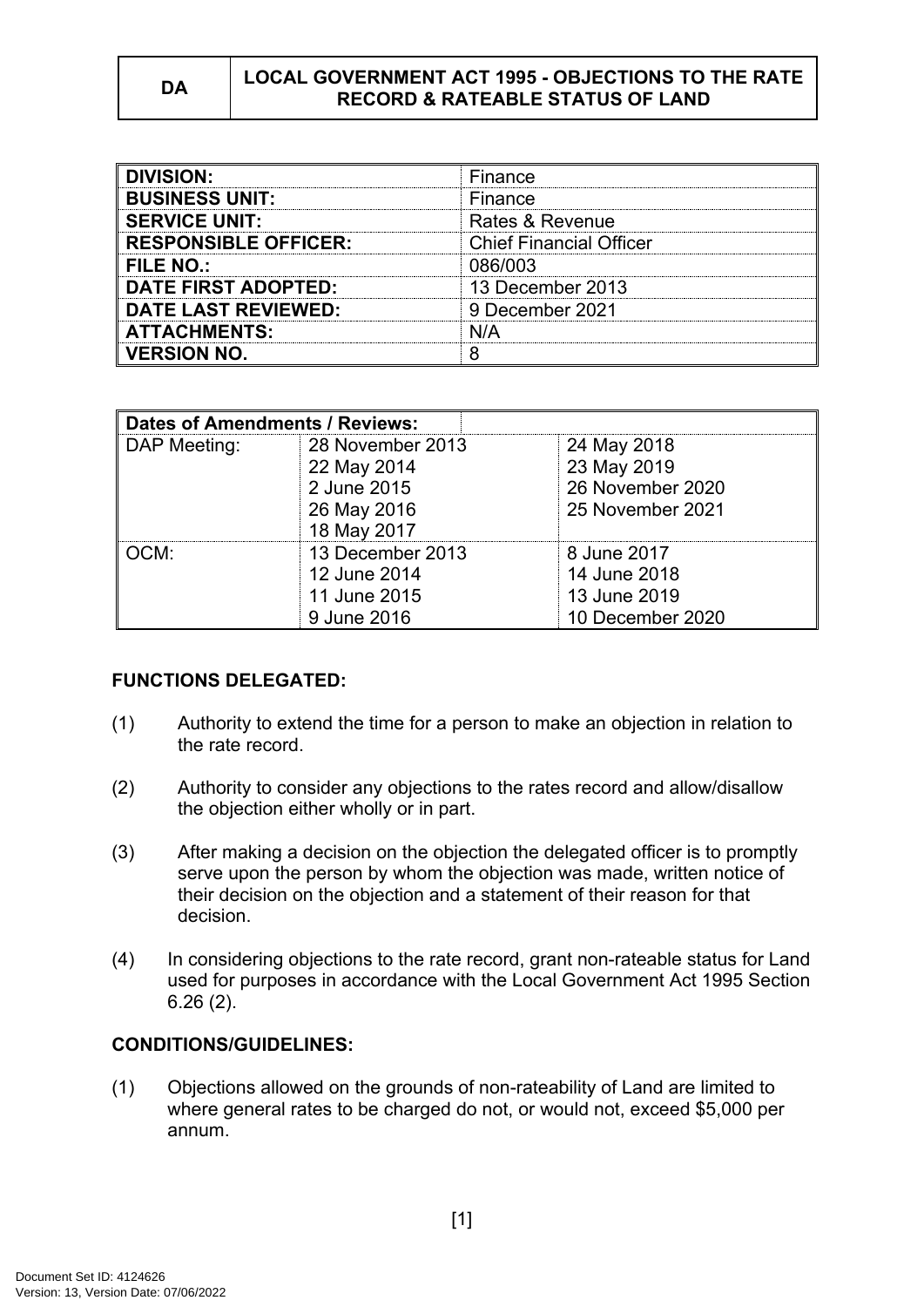### **DA LOCAL GOVERNMENT ACT 1995 - OBJECTIONS TO THE RATE RECORD & RATEABLE STATUS OF LAND**

| <b>DIVISION:</b>            | Finance                        |  |
|-----------------------------|--------------------------------|--|
| <b>BUSINESS UNIT:</b>       | Finance                        |  |
| <b>SERVICE UNIT:</b>        | Rates & Revenue                |  |
| <b>RESPONSIBLE OFFICER:</b> | <b>Chief Financial Officer</b> |  |
| FILE NO.:                   | 086/003                        |  |
| <b>DATE FIRST ADOPTED:</b>  | 13 December 2013               |  |
| <b>DATE LAST REVIEWED:</b>  | 9 December 2021                |  |
| <b>ATTACHMENTS:</b>         | N/A                            |  |
| <b>VERSION NO.</b>          |                                |  |

| Dates of Amendments / Reviews: |                  |                  |
|--------------------------------|------------------|------------------|
| DAP Meeting:                   | 28 November 2013 | 24 May 2018      |
|                                | 22 May 2014      | 23 May 2019      |
|                                | 2 June 2015      | 26 November 2020 |
|                                | 26 May 2016      | 25 November 2021 |
|                                | 18 May 2017      |                  |
| CM:                            | 13 December 2013 | 8 June 2017      |
|                                | 12 June 2014     | 14 June 2018     |
|                                | 11 June 2015     | 13 June 2019     |
|                                | 9 June 2016      | 10 December 2020 |

## **FUNCTIONS DELEGATED:**

- (1) Authority to extend the time for a person to make an objection in relation to the rate record.
- (2) Authority to consider any objections to the rates record and allow/disallow the objection either wholly or in part.
- (3) After making a decision on the objection the delegated officer is to promptly serve upon the person by whom the objection was made, written notice of their decision on the objection and a statement of their reason for that decision.
- (4) In considering objections to the rate record, grant non-rateable status for Land used for purposes in accordance with the Local Government Act 1995 Section 6.26 (2).

# **CONDITIONS/GUIDELINES:**

(1) Objections allowed on the grounds of non-rateability of Land are limited to where general rates to be charged do not, or would not, exceed \$5,000 per annum.